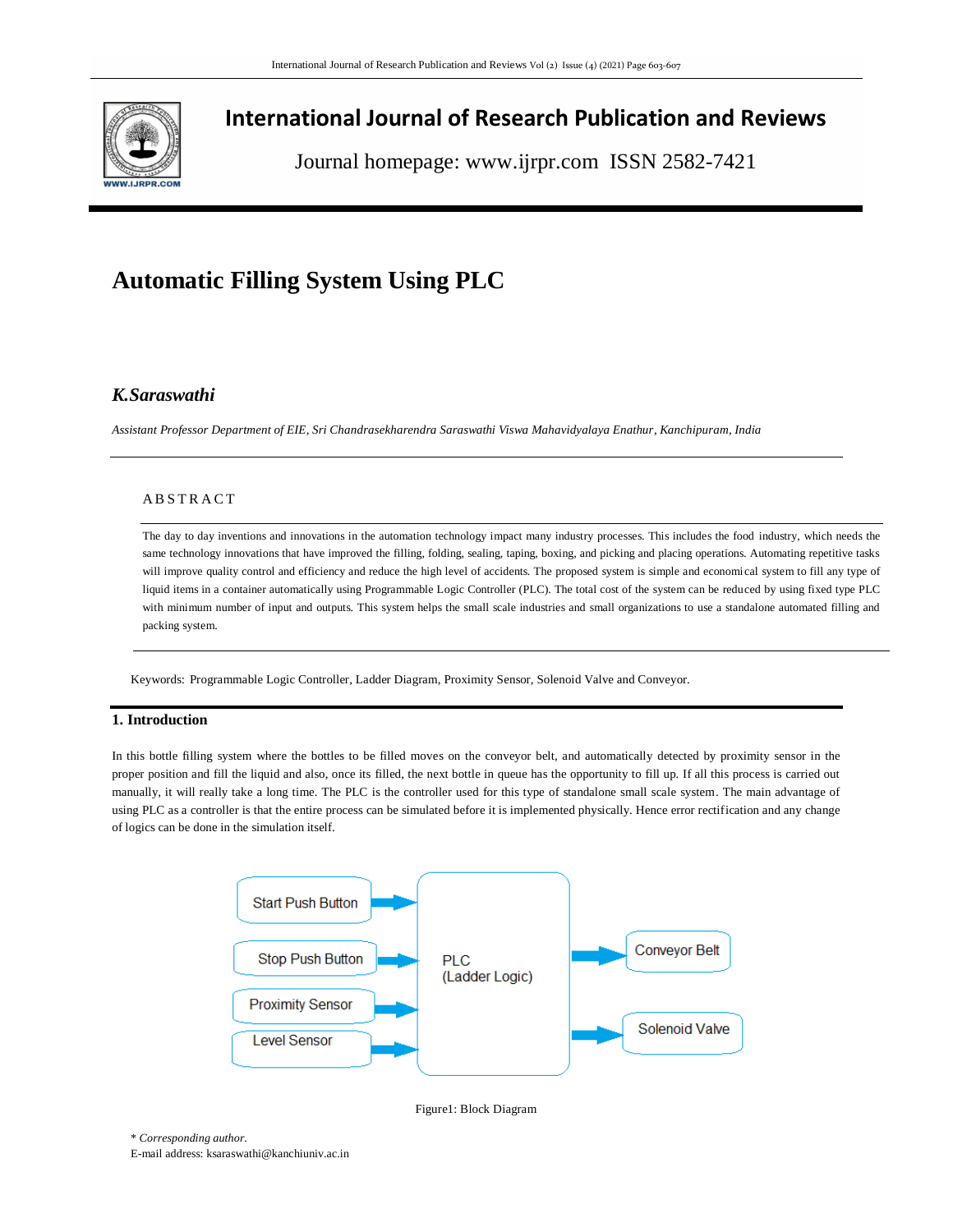

## **International Journal of Research Publication and Reviews**

Journal homepage: www.ijrpr.com ISSN 2582-7421

# **Automatic Filling System Using PLC**

### *K.Saraswathi*

*Assistant Professor Department of EIE, Sri Chandrasekharendra Saraswathi Viswa Mahavidyalaya Enathur, Kanchipuram, India*

#### **ABSTRACT**

The day to day inventions and innovations in the automation technology impact many industry processes. This includes the food industry, which needs the same technology innovations that have improved the filling, folding, sealing, taping, boxing, and picking and placing operations. Automating repetitive tasks will improve quality control and efficiency and reduce the high level of accidents. The proposed system is simple and economical system to fill any type of liquid items in a container automatically using Programmable Logic Controller (PLC). The total cost of the system can be reduced by using fixed type PLC with minimum number of input and outputs. This system helps the small scale industries and small organizations to use a standalone automated filling and packing system.

Keywords: Programmable Logic Controller, Ladder Diagram, Proximity Sensor, Solenoid Valve and Conveyor.

#### **1. Introduction**

In this bottle filling system where the bottles to be filled moves on the conveyor belt, and automatically detected by proximity sensor in the proper position and fill the liquid and also, once its filled, the next bottle in queue has the opportunity to fill up. If all this process is carried out manually, it will really take a long time. The PLC is the controller used for this type of standalone small scale system. The main advantage of using PLC as a controller is that the entire process can be simulated before it is implemented physically. Hence error rectification and any change of logics can be done in the simulation itself.





\* *Corresponding author.*

E-mail address: ksaraswathi@kanchiuniv.ac.in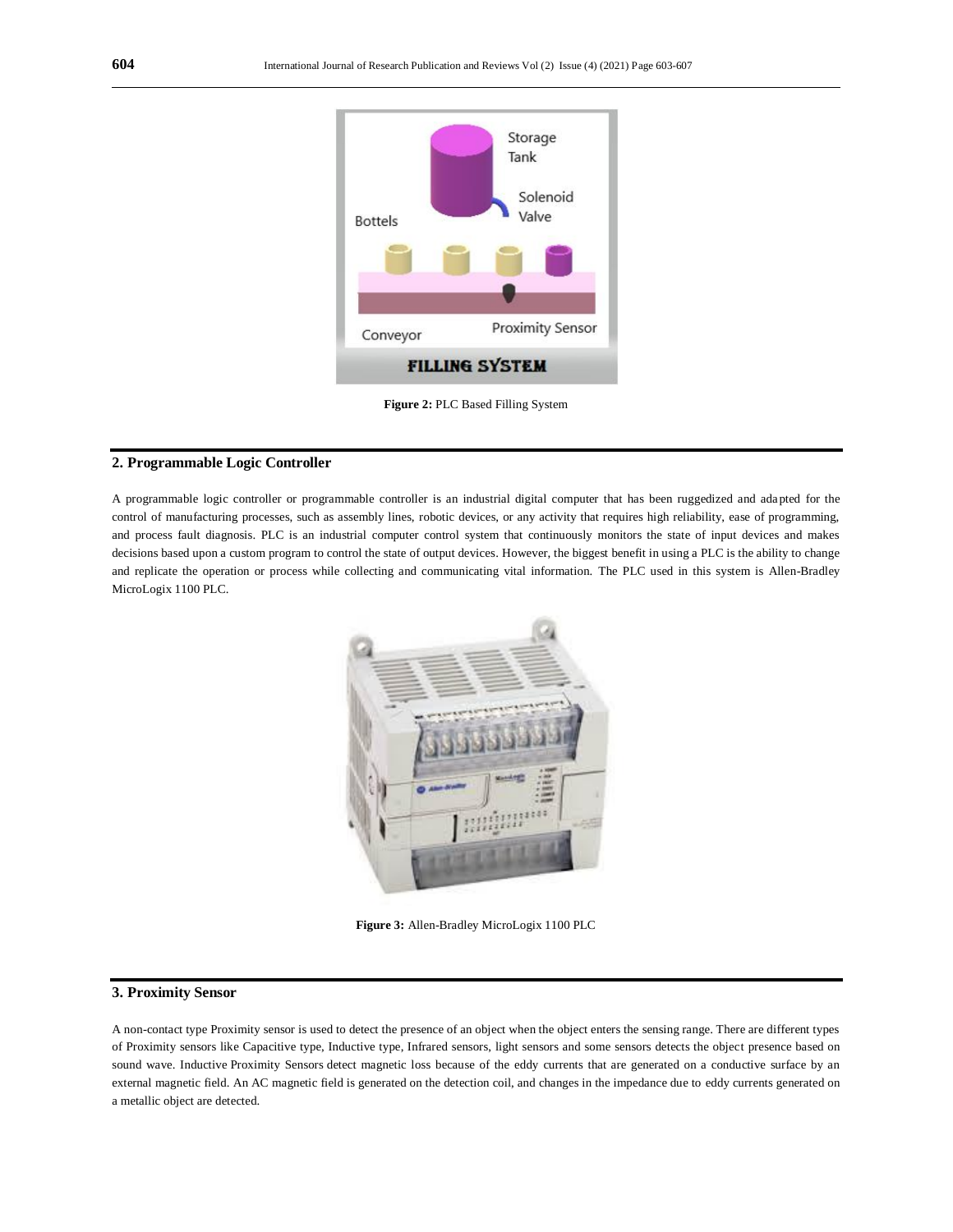

**Figure 2:** PLC Based Filling System

#### **2. Programmable Logic Controller**

A programmable logic controller or programmable controller is an industrial digital computer that has been ruggedized and ada pted for the control of manufacturing processes, such as assembly lines, robotic devices, or any activity that requires high reliability, ease of programming, and process fault diagnosis. PLC is an industrial computer control system that continuously monitors the state of input devices and makes decisions based upon a custom program to control the state of output devices. However, the biggest benefit in using a PLC is the ability to change and replicate the operation or process while collecting and communicating vital information. The PLC used in this system is Allen-Bradley MicroLogix 1100 PLC.



**Figure 3:** Allen-Bradley MicroLogix 1100 PLC

#### **3. Proximity Sensor**

A non-contact type Proximity sensor is used to detect the presence of an object when the object enters the sensing range. There are different types of Proximity sensors like Capacitive type, Inductive type, Infrared sensors, light sensors and some sensors detects the object presence based on sound wave. Inductive Proximity Sensors detect magnetic loss because of the eddy currents that are generated on a conductive surface by an external magnetic field. An AC magnetic field is generated on the detection coil, and changes in the impedance due to eddy currents generated on a metallic object are detected.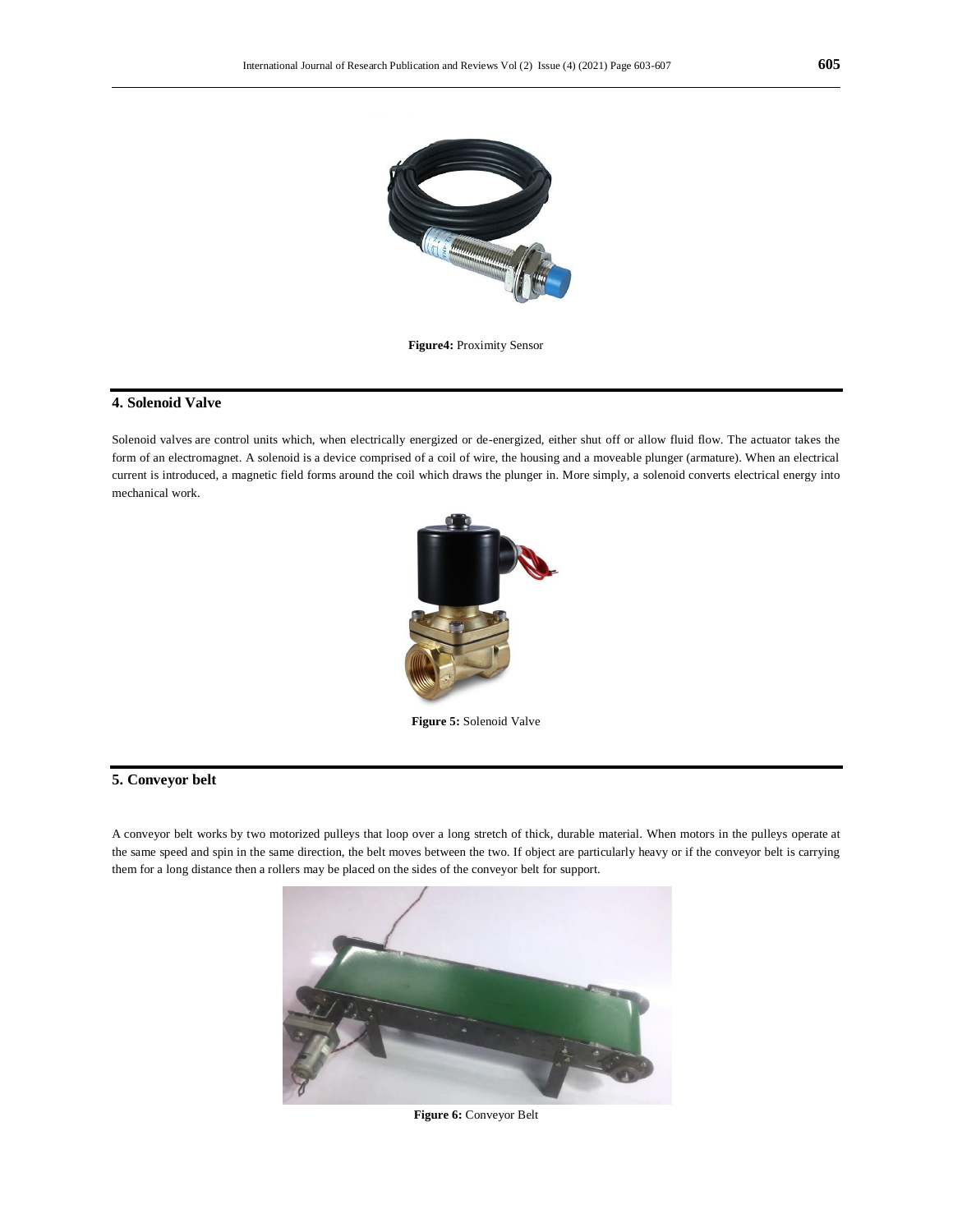

**Figure4:** Proximity Sensor

#### **4. Solenoid Valve**

Solenoid valves are control units which, when electrically energized or de-energized, either shut off or allow fluid flow. The actuator takes the form of an electromagnet. A solenoid is a device comprised of a coil of wire, the housing and a moveable plunger (armature). When an electrical current is introduced, a magnetic field forms around the coil which draws the plunger in. More simply, a solenoid converts electrical energy into mechanical work.



**Figure 5:** Solenoid Valve

#### **5. Conveyor belt**

A conveyor belt works by two motorized pulleys that loop over a long stretch of thick, durable material. When motors in the pulleys operate at the same speed and spin in the same direction, the belt moves between the two. If object are particularly heavy or if the conveyor belt is carrying them for a long distance then a rollers may be placed on the sides of the conveyor belt for support.



**Figure 6:** Conveyor Belt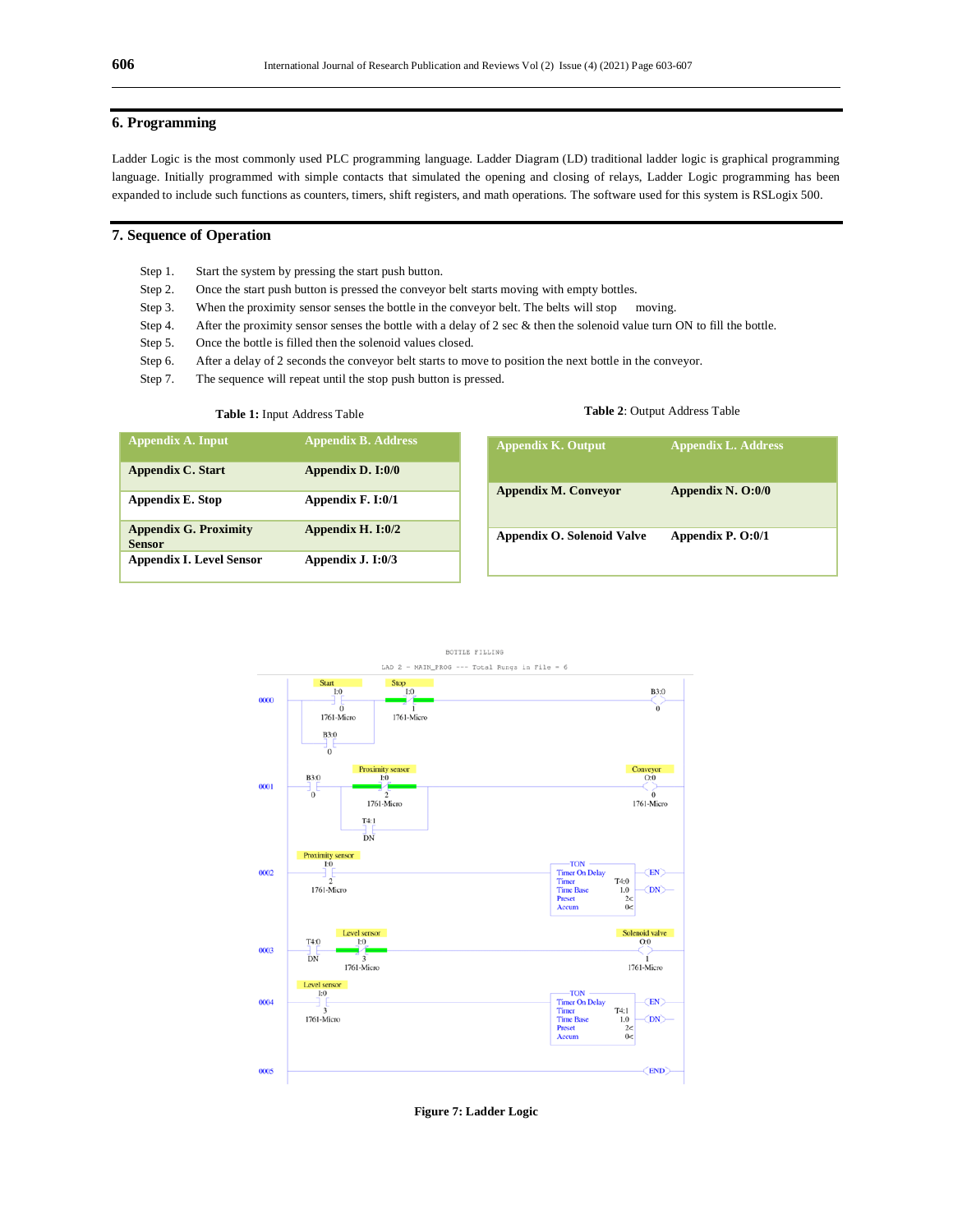#### **6. Programming**

Ladder Logic is the most commonly used PLC programming language. Ladder Diagram (LD) traditional ladder logic is graphical programming language. Initially programmed with simple contacts that simulated the opening and closing of relays, Ladder Logic programming has been expanded to include such functions as counters, timers, shift registers, and math operations. The software used for this system is RSLogix 500.

#### **7. Sequence of Operation**

- Step 1. Start the system by pressing the start push button.
- Step 2. Once the start push button is pressed the conveyor belt starts moving with empty bottles.
- Step 3. When the proximity sensor senses the bottle in the conveyor belt. The belts will stop moving.
- Step 4. After the proximity sensor senses the bottle with a delay of 2 sec & then the solenoid value turn ON to fill the bottle.
- Step 5. Once the bottle is filled then the solenoid values closed.
- Step 6. After a delay of 2 seconds the conveyor belt starts to move to position the next bottle in the conveyor.
- Step 7. The sequence will repeat until the stop push button is pressed.

#### **Table 1:** Input Address Table

#### **Table 2**: Output Address Table

| <b>Appendix A. Input</b>                      | <b>Appendix B. Address</b> |
|-----------------------------------------------|----------------------------|
| <b>Appendix C. Start</b>                      | Appendix D. I:0/0          |
| <b>Appendix E. Stop</b>                       | Appendix F. I:0/1          |
| <b>Appendix G. Proximity</b><br><b>Sensor</b> | Appendix H. I:0/2          |
| <b>Appendix I. Level Sensor</b>               | Appendix J. I:0/3          |

| <b>Appendix M. Conveyor</b> | Appendix N. O:0/0 |
|-----------------------------|-------------------|
| Appendix O. Solenoid Valve  | Appendix P. O:0/1 |

**Appendix K. Output Appendix L. Address**



**Figure 7: Ladder Logic**